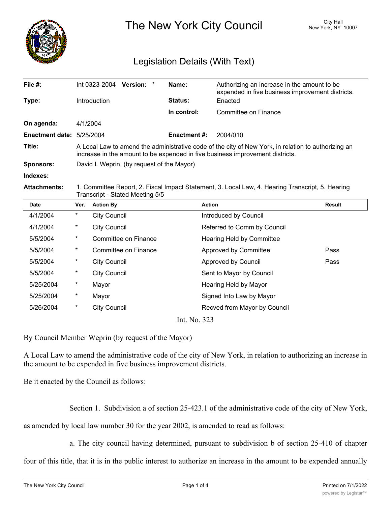

The New York City Council New York, NY 10007

# Legislation Details (With Text)

| File $#$ :                  | Int 0323-2004<br><b>Version:</b><br>$\star$                                                                                                                                          | Name:               | Authorizing an increase in the amount to be<br>expended in five business improvement districts. |  |  |
|-----------------------------|--------------------------------------------------------------------------------------------------------------------------------------------------------------------------------------|---------------------|-------------------------------------------------------------------------------------------------|--|--|
| Type:                       | Introduction                                                                                                                                                                         | Status:             | Enacted                                                                                         |  |  |
|                             |                                                                                                                                                                                      | In control:         | Committee on Finance                                                                            |  |  |
| On agenda:                  | 4/1/2004                                                                                                                                                                             |                     |                                                                                                 |  |  |
| Enactment date: $5/25/2004$ |                                                                                                                                                                                      | <b>Enactment #:</b> | 2004/010                                                                                        |  |  |
| Title:                      | A Local Law to amend the administrative code of the city of New York, in relation to authorizing an<br>increase in the amount to be expended in five business improvement districts. |                     |                                                                                                 |  |  |
| <b>Sponsors:</b>            | David I. Weprin, (by request of the Mayor)                                                                                                                                           |                     |                                                                                                 |  |  |
| Indexes:                    |                                                                                                                                                                                      |                     |                                                                                                 |  |  |

**Attachments:** 1. Committee Report, 2. Fiscal Impact Statement, 3. Local Law, 4. Hearing Transcript, 5. Hearing Transcript - Stated Meeting 5/5

| Date                 | Ver.     | <b>Action By</b>     | <b>Action</b>                | <b>Result</b> |  |
|----------------------|----------|----------------------|------------------------------|---------------|--|
| 4/1/2004             | $\ast$   | <b>City Council</b>  | Introduced by Council        |               |  |
| 4/1/2004             | $\ast$   | <b>City Council</b>  | Referred to Comm by Council  |               |  |
| 5/5/2004             | $^\star$ | Committee on Finance | Hearing Held by Committee    |               |  |
| 5/5/2004             | $^\star$ | Committee on Finance | Approved by Committee        | Pass          |  |
| 5/5/2004             | $^\ast$  | <b>City Council</b>  | Approved by Council          | Pass          |  |
| 5/5/2004             | $^\star$ | <b>City Council</b>  | Sent to Mayor by Council     |               |  |
| 5/25/2004            | $^\star$ | Mayor                | Hearing Held by Mayor        |               |  |
| 5/25/2004            | $\star$  | Mayor                | Signed Into Law by Mayor     |               |  |
| 5/26/2004            | $\ast$   | <b>City Council</b>  | Recved from Mayor by Council |               |  |
| Int $N_{\alpha}$ 222 |          |                      |                              |               |  |

Int. No. 323

By Council Member Weprin (by request of the Mayor)

A Local Law to amend the administrative code of the city of New York, in relation to authorizing an increase in the amount to be expended in five business improvement districts.

### Be it enacted by the Council as follows:

Section 1. Subdivision a of section 25-423.1 of the administrative code of the city of New York,

as amended by local law number 30 for the year 2002, is amended to read as follows:

a. The city council having determined, pursuant to subdivision b of section 25-410 of chapter

four of this title, that it is in the public interest to authorize an increase in the amount to be expended annually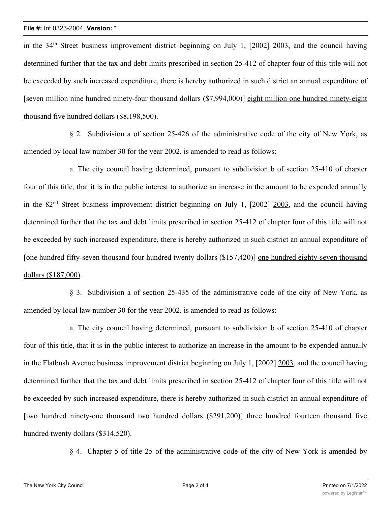#### **File #:** Int 0323-2004, **Version:** \*

in the 34<sup>th</sup> Street business improvement district beginning on July 1, [2002] 2003, and the council having determined further that the tax and debt limits prescribed in section 25-412 of chapter four of this title will not be exceeded by such increased expenditure, there is hereby authorized in such district an annual expenditure of [seven million nine hundred ninety-four thousand dollars (\$7,994,000)] eight million one hundred ninety-eight thousand five hundred dollars (\$8,198,500).

§ 2. Subdivision a of section 25-426 of the administrative code of the city of New York, as amended by local law number 30 for the year 2002, is amended to read as follows:

a. The city council having determined, pursuant to subdivision b of section 25-410 of chapter four of this title, that it is in the public interest to authorize an increase in the amount to be expended annually in the 82<sup>nd</sup> Street business improvement district beginning on July 1, [2002] 2003, and the council having determined further that the tax and debt limits prescribed in section 25-412 of chapter four of this title will not be exceeded by such increased expenditure, there is hereby authorized in such district an annual expenditure of [one hundred fifty-seven thousand four hundred twenty dollars (\$157,420)] one hundred eighty-seven thousand dollars (\$187,000).

§ 3. Subdivision a of section 25-435 of the administrative code of the city of New York, as amended by local law number 30 for the year 2002, is amended to read as follows:

a. The city council having determined, pursuant to subdivision b of section 25-410 of chapter four of this title, that it is in the public interest to authorize an increase in the amount to be expended annually in the Flatbush Avenue business improvement district beginning on July 1, [2002] 2003, and the council having determined further that the tax and debt limits prescribed in section 25-412 of chapter four of this title will not be exceeded by such increased expenditure, there is hereby authorized in such district an annual expenditure of [two hundred ninety-one thousand two hundred dollars (\$291,200)] three hundred fourteen thousand five hundred twenty dollars (\$314,520).

§ 4. Chapter 5 of title 25 of the administrative code of the city of New York is amended by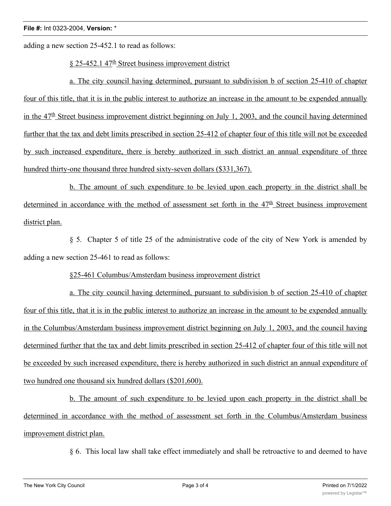adding a new section 25-452.1 to read as follows:

## $§$  25-452.1 47<sup>th</sup> Street business improvement district

a. The city council having determined, pursuant to subdivision b of section 25-410 of chapter four of this title, that it is in the public interest to authorize an increase in the amount to be expended annually in the  $47<sup>th</sup>$  Street business improvement district beginning on July 1, 2003, and the council having determined further that the tax and debt limits prescribed in section 25-412 of chapter four of this title will not be exceeded by such increased expenditure, there is hereby authorized in such district an annual expenditure of three hundred thirty-one thousand three hundred sixty-seven dollars (\$331,367).

b. The amount of such expenditure to be levied upon each property in the district shall be determined in accordance with the method of assessment set forth in the  $47<sup>th</sup>$  Street business improvement district plan.

§ 5. Chapter 5 of title 25 of the administrative code of the city of New York is amended by adding a new section 25-461 to read as follows:

### §25-461 Columbus/Amsterdam business improvement district

a. The city council having determined, pursuant to subdivision b of section 25-410 of chapter four of this title, that it is in the public interest to authorize an increase in the amount to be expended annually in the Columbus/Amsterdam business improvement district beginning on July 1, 2003, and the council having determined further that the tax and debt limits prescribed in section 25-412 of chapter four of this title will not be exceeded by such increased expenditure, there is hereby authorized in such district an annual expenditure of two hundred one thousand six hundred dollars (\$201,600).

b. The amount of such expenditure to be levied upon each property in the district shall be determined in accordance with the method of assessment set forth in the Columbus/Amsterdam business improvement district plan.

§ 6. This local law shall take effect immediately and shall be retroactive to and deemed to have